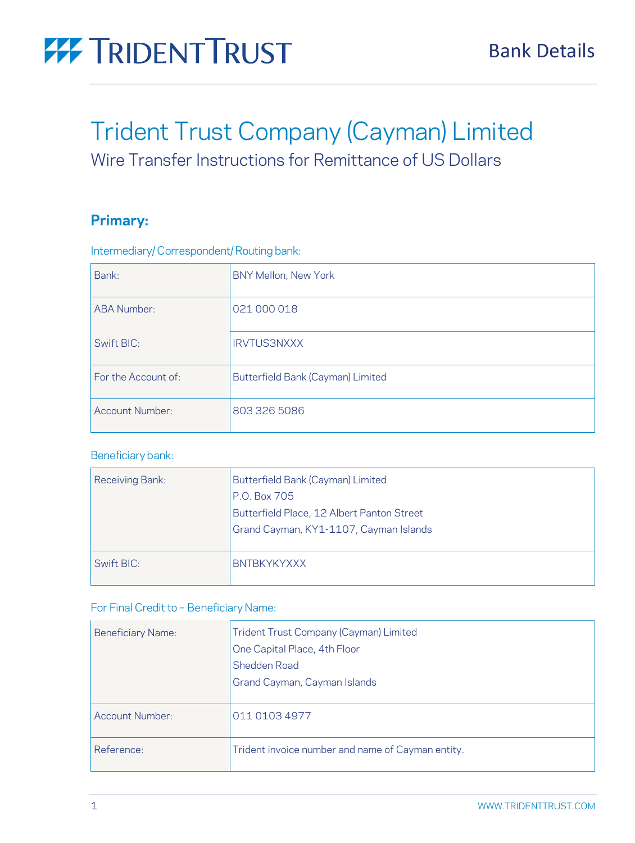

# Trident Trust Company (Cayman) Limited

Wire Transfer Instructions for Remittance of US Dollars

### **Primary:**

| Bank:                  | BNY Mellon, New York              |  |
|------------------------|-----------------------------------|--|
| <b>ABA Number:</b>     | 021 000 018                       |  |
| Swift BIC:             | <b>IRVTUS3NXXX</b>                |  |
| For the Account of:    | Butterfield Bank (Cayman) Limited |  |
| <b>Account Number:</b> | 803 326 5086                      |  |

Intermediary/Correspondent/Routing bank:

### Beneficiary bank:

| Receiving Bank: | Butterfield Bank (Cayman) Limited<br>P.O. Box 705<br>Butterfield Place, 12 Albert Panton Street<br>Grand Cayman, KY1-1107, Cayman Islands |
|-----------------|-------------------------------------------------------------------------------------------------------------------------------------------|
| Swift BIC:      | <b>BNTBKYKYXXX</b>                                                                                                                        |

### For Final Credit to - Beneficiary Name:

| <b>Beneficiary Name:</b> | Trident Trust Company (Cayman) Limited<br>One Capital Place, 4th Floor<br>Shedden Road<br>Grand Cayman, Cayman Islands |
|--------------------------|------------------------------------------------------------------------------------------------------------------------|
| <b>Account Number:</b>   | 011 0103 4977                                                                                                          |
| Reference:               | Trident invoice number and name of Cayman entity.                                                                      |